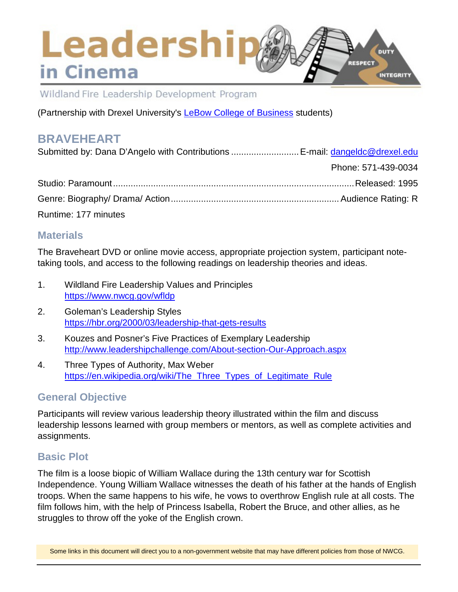## Leadership DUTY **RESPECT** in Cinema **INTEGRITY**

Wildland Fire Leadership Development Program

(Partnership with Drexel University's [LeBow College of Business](http://www.lebow.drexel.edu/index.php) students)

# **BRAVEHEART**

| Submitted by: Dana D'Angelo with Contributions  E-mail: dangeldc@drexel.edu |                     |
|-----------------------------------------------------------------------------|---------------------|
|                                                                             | Phone: 571-439-0034 |
|                                                                             |                     |
|                                                                             |                     |
| Runtime: 177 minutes                                                        |                     |

## **Materials**

The Braveheart DVD or online movie access, appropriate projection system, participant notetaking tools, and access to the following readings on leadership theories and ideas.

- 1. Wildland Fire Leadership Values and Principles <https://www.nwcg.gov/wfldp>
- 2. Goleman's Leadership Styles <https://hbr.org/2000/03/leadership-that-gets-results>
- 3. Kouzes and Posner's Five Practices of Exemplary Leadership <http://www.leadershipchallenge.com/About-section-Our-Approach.aspx>
- 4. Three Types of Authority, Max Weber [https://en.wikipedia.org/wiki/The\\_Three\\_Types\\_of\\_Legitimate\\_Rule](https://en.wikipedia.org/wiki/The_Three_Types_of_Legitimate_Rule)

## **General Objective**

Participants will review various leadership theory illustrated within the film and discuss leadership lessons learned with group members or mentors, as well as complete activities and assignments.

## **Basic Plot**

The film is a loose biopic of William Wallace during the 13th century war for Scottish Independence. Young William Wallace witnesses the death of his father at the hands of English troops. When the same happens to his wife, he vows to overthrow English rule at all costs. The film follows him, with the help of Princess Isabella, Robert the Bruce, and other allies, as he struggles to throw off the yoke of the English crown.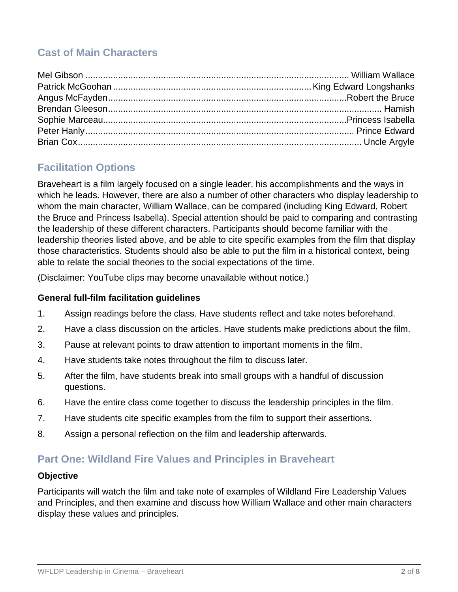# **Cast of Main Characters**

# **Facilitation Options**

Braveheart is a film largely focused on a single leader, his accomplishments and the ways in which he leads. However, there are also a number of other characters who display leadership to whom the main character, William Wallace, can be compared (including King Edward, Robert the Bruce and Princess Isabella). Special attention should be paid to comparing and contrasting the leadership of these different characters. Participants should become familiar with the leadership theories listed above, and be able to cite specific examples from the film that display those characteristics. Students should also be able to put the film in a historical context, being able to relate the social theories to the social expectations of the time.

(Disclaimer: YouTube clips may become unavailable without notice.)

#### **General full-film facilitation guidelines**

- 1. Assign readings before the class. Have students reflect and take notes beforehand.
- 2. Have a class discussion on the articles. Have students make predictions about the film.
- 3. Pause at relevant points to draw attention to important moments in the film.
- 4. Have students take notes throughout the film to discuss later.
- 5. After the film, have students break into small groups with a handful of discussion questions.
- 6. Have the entire class come together to discuss the leadership principles in the film.
- 7. Have students cite specific examples from the film to support their assertions.
- 8. Assign a personal reflection on the film and leadership afterwards.

## **Part One: Wildland Fire Values and Principles in Braveheart**

#### **Objective**

Participants will watch the film and take note of examples of Wildland Fire Leadership Values and Principles, and then examine and discuss how William Wallace and other main characters display these values and principles.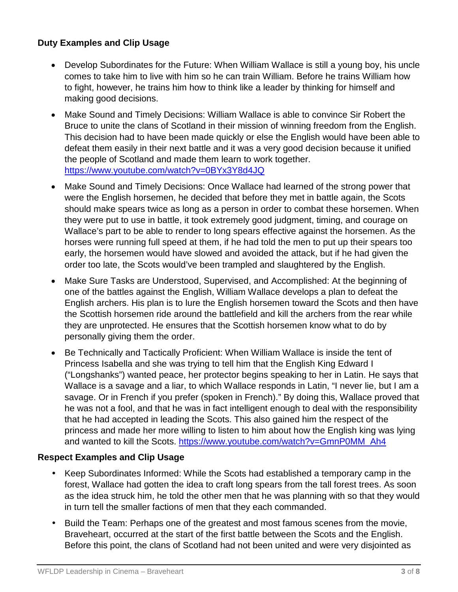#### **Duty Examples and Clip Usage**

- Develop Subordinates for the Future: When William Wallace is still a young boy, his uncle comes to take him to live with him so he can train William. Before he trains William how to fight, however, he trains him how to think like a leader by thinking for himself and making good decisions.
- Make Sound and Timely Decisions: William Wallace is able to convince Sir Robert the Bruce to unite the clans of Scotland in their mission of winning freedom from the English. This decision had to have been made quickly or else the English would have been able to defeat them easily in their next battle and it was a very good decision because it unified the people of Scotland and made them learn to work together. <https://www.youtube.com/watch?v=0BYx3Y8d4JQ>
- Make Sound and Timely Decisions: Once Wallace had learned of the strong power that were the English horsemen, he decided that before they met in battle again, the Scots should make spears twice as long as a person in order to combat these horsemen. When they were put to use in battle, it took extremely good judgment, timing, and courage on Wallace's part to be able to render to long spears effective against the horsemen. As the horses were running full speed at them, if he had told the men to put up their spears too early, the horsemen would have slowed and avoided the attack, but if he had given the order too late, the Scots would've been trampled and slaughtered by the English.
- Make Sure Tasks are Understood, Supervised, and Accomplished: At the beginning of one of the battles against the English, William Wallace develops a plan to defeat the English archers. His plan is to lure the English horsemen toward the Scots and then have the Scottish horsemen ride around the battlefield and kill the archers from the rear while they are unprotected. He ensures that the Scottish horsemen know what to do by personally giving them the order.
- Be Technically and Tactically Proficient: When William Wallace is inside the tent of Princess Isabella and she was trying to tell him that the English King Edward I ("Longshanks") wanted peace, her protector begins speaking to her in Latin. He says that Wallace is a savage and a liar, to which Wallace responds in Latin, "I never lie, but I am a savage. Or in French if you prefer (spoken in French)." By doing this, Wallace proved that he was not a fool, and that he was in fact intelligent enough to deal with the responsibility that he had accepted in leading the Scots. This also gained him the respect of the princess and made her more willing to listen to him about how the English king was lying and wanted to kill the Scots. [https://www.youtube.com/watch?v=GmnP0MM\\_Ah4](https://www.youtube.com/watch?v=GmnP0MM_Ah4)

#### **Respect Examples and Clip Usage**

- Keep Subordinates Informed: While the Scots had established a temporary camp in the forest, Wallace had gotten the idea to craft long spears from the tall forest trees. As soon as the idea struck him, he told the other men that he was planning with so that they would in turn tell the smaller factions of men that they each commanded.
- Build the Team: Perhaps one of the greatest and most famous scenes from the movie, Braveheart, occurred at the start of the first battle between the Scots and the English. Before this point, the clans of Scotland had not been united and were very disjointed as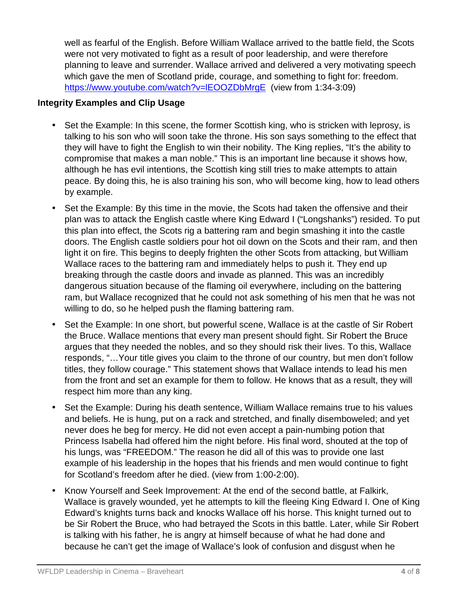well as fearful of the English. Before William Wallace arrived to the battle field, the Scots were not very motivated to fight as a result of poor leadership, and were therefore planning to leave and surrender. Wallace arrived and delivered a very motivating speech which gave the men of Scotland pride, courage, and something to fight for: freedom. <https://www.youtube.com/watch?v=lEOOZDbMrgE> (view from 1:34-3:09)

#### **Integrity Examples and Clip Usage**

- Set the Example: In this scene, the former Scottish king, who is stricken with leprosy, is talking to his son who will soon take the throne. His son says something to the effect that they will have to fight the English to win their nobility. The King replies, "It's the ability to compromise that makes a man noble." This is an important line because it shows how, although he has evil intentions, the Scottish king still tries to make attempts to attain peace. By doing this, he is also training his son, who will become king, how to lead others by example.
- Set the Example: By this time in the movie, the Scots had taken the offensive and their plan was to attack the English castle where King Edward I ("Longshanks") resided. To put this plan into effect, the Scots rig a battering ram and begin smashing it into the castle doors. The English castle soldiers pour hot oil down on the Scots and their ram, and then light it on fire. This begins to deeply frighten the other Scots from attacking, but William Wallace races to the battering ram and immediately helps to push it. They end up breaking through the castle doors and invade as planned. This was an incredibly dangerous situation because of the flaming oil everywhere, including on the battering ram, but Wallace recognized that he could not ask something of his men that he was not willing to do, so he helped push the flaming battering ram.
- Set the Example: In one short, but powerful scene, Wallace is at the castle of Sir Robert the Bruce. Wallace mentions that every man present should fight. Sir Robert the Bruce argues that they needed the nobles, and so they should risk their lives. To this, Wallace responds, "…Your title gives you claim to the throne of our country, but men don't follow titles, they follow courage." This statement shows that Wallace intends to lead his men from the front and set an example for them to follow. He knows that as a result, they will respect him more than any king.
- Set the Example: During his death sentence, William Wallace remains true to his values and beliefs. He is hung, put on a rack and stretched, and finally disemboweled; and yet never does he beg for mercy. He did not even accept a pain-numbing potion that Princess Isabella had offered him the night before. His final word, shouted at the top of his lungs, was "FREEDOM." The reason he did all of this was to provide one last example of his leadership in the hopes that his friends and men would continue to fight for Scotland's freedom after he died. (view from 1:00-2:00).
- Know Yourself and Seek Improvement: At the end of the second battle, at Falkirk, Wallace is gravely wounded, yet he attempts to kill the fleeing King Edward I. One of King Edward's knights turns back and knocks Wallace off his horse. This knight turned out to be Sir Robert the Bruce, who had betrayed the Scots in this battle. Later, while Sir Robert is talking with his father, he is angry at himself because of what he had done and because he can't get the image of Wallace's look of confusion and disgust when he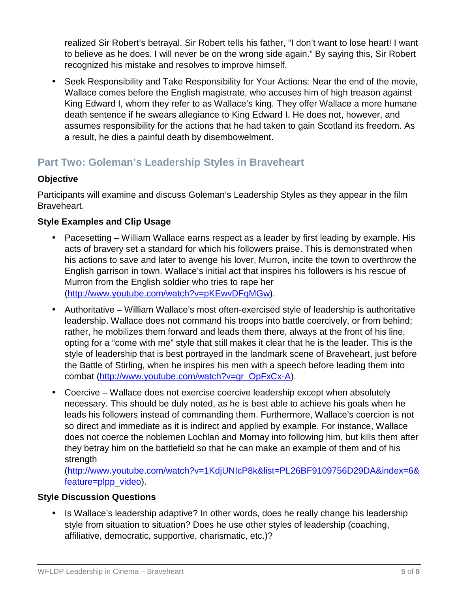realized Sir Robert's betrayal. Sir Robert tells his father, "I don't want to lose heart! I want to believe as he does. I will never be on the wrong side again." By saying this, Sir Robert recognized his mistake and resolves to improve himself.

• Seek Responsibility and Take Responsibility for Your Actions: Near the end of the movie, Wallace comes before the English magistrate, who accuses him of high treason against King Edward I, whom they refer to as Wallace's king. They offer Wallace a more humane death sentence if he swears allegiance to King Edward I. He does not, however, and assumes responsibility for the actions that he had taken to gain Scotland its freedom. As a result, he dies a painful death by disembowelment.

# **Part Two: Goleman's Leadership Styles in Braveheart**

#### **Objective**

Participants will examine and discuss Goleman's Leadership Styles as they appear in the film Braveheart.

### **Style Examples and Clip Usage**

- Pacesetting William Wallace earns respect as a leader by first leading by example. His acts of bravery set a standard for which his followers praise. This is demonstrated when his actions to save and later to avenge his lover, Murron, incite the town to overthrow the English garrison in town. Wallace's initial act that inspires his followers is his rescue of Murron from the English soldier who tries to rape her [\(http://www.youtube.com/watch?v=pKEwvDFqMGw\)](http://www.youtube.com/watch?v=pKEwvDFqMGw).
- Authoritative William Wallace's most often-exercised style of leadership is authoritative leadership. Wallace does not command his troops into battle coercively, or from behind; rather, he mobilizes them forward and leads them there, always at the front of his line, opting for a "come with me" style that still makes it clear that he is the leader. This is the style of leadership that is best portrayed in the landmark scene of Braveheart, just before the Battle of Stirling, when he inspires his men with a speech before leading them into combat [\(http://www.youtube.com/watch?v=gr\\_OpFxCx-A\)](http://www.youtube.com/watch?v=gr_OpFxCx-A).
- Coercive Wallace does not exercise coercive leadership except when absolutely necessary. This should be duly noted, as he is best able to achieve his goals when he leads his followers instead of commanding them. Furthermore, Wallace's coercion is not so direct and immediate as it is indirect and applied by example. For instance, Wallace does not coerce the noblemen Lochlan and Mornay into following him, but kills them after they betray him on the battlefield so that he can make an example of them and of his strength

[\(http://www.youtube.com/watch?v=1KdjUNIcP8k&list=PL26BF9109756D29DA&index=6&](http://www.youtube.com/watch?v=1KdjUNIcP8k&list=PL26BF9109756D29DA&index=6&feature=plpp_video) [feature=plpp\\_video\)](http://www.youtube.com/watch?v=1KdjUNIcP8k&list=PL26BF9109756D29DA&index=6&feature=plpp_video).

#### **Style Discussion Questions**

• Is Wallace's leadership adaptive? In other words, does he really change his leadership style from situation to situation? Does he use other styles of leadership (coaching, affiliative, democratic, supportive, charismatic, etc.)?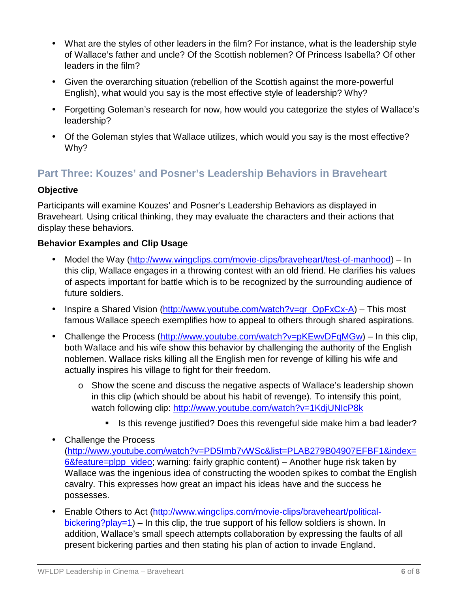- What are the styles of other leaders in the film? For instance, what is the leadership style of Wallace's father and uncle? Of the Scottish noblemen? Of Princess Isabella? Of other leaders in the film?
- Given the overarching situation (rebellion of the Scottish against the more-powerful English), what would you say is the most effective style of leadership? Why?
- Forgetting Goleman's research for now, how would you categorize the styles of Wallace's leadership?
- Of the Goleman styles that Wallace utilizes, which would you say is the most effective? Why?

# **Part Three: Kouzes' and Posner's Leadership Behaviors in Braveheart**

### **Objective**

Participants will examine Kouzes' and Posner's Leadership Behaviors as displayed in Braveheart. Using critical thinking, they may evaluate the characters and their actions that display these behaviors.

### **Behavior Examples and Clip Usage**

- Model the Way [\(http://www.wingclips.com/movie-clips/braveheart/test-of-manhood\)](http://www.wingclips.com/movie-clips/braveheart/test-of-manhood) In this clip, Wallace engages in a throwing contest with an old friend. He clarifies his values of aspects important for battle which is to be recognized by the surrounding audience of future soldiers.
- Inspire a Shared Vision [\(http://www.youtube.com/watch?v=gr\\_OpFxCx-A\)](http://www.youtube.com/watch?v=gr_OpFxCx-A) This most famous Wallace speech exemplifies how to appeal to others through shared aspirations.
- Challenge the Process [\(http://www.youtube.com/watch?v=pKEwvDFqMGw\)](http://www.youtube.com/watch?v=pKEwvDFqMGw) In this clip, both Wallace and his wife show this behavior by challenging the authority of the English noblemen. Wallace risks killing all the English men for revenge of killing his wife and actually inspires his village to fight for their freedom.
	- o Show the scene and discuss the negative aspects of Wallace's leadership shown in this clip (which should be about his habit of revenge). To intensify this point, watch following clip:<http://www.youtube.com/watch?v=1KdjUNIcP8k>
		- Is this revenge justified? Does this revengeful side make him a bad leader?
- Challenge the Process [\(http://www.youtube.com/watch?v=PD5Imb7vWSc&list=PLAB279B04907EFBF1&index=](http://www.youtube.com/watch?v=PD5Imb7vWSc&list=PLAB279B04907EFBF1&index=6&feature=plpp_video) [6&feature=plpp\\_video;](http://www.youtube.com/watch?v=PD5Imb7vWSc&list=PLAB279B04907EFBF1&index=6&feature=plpp_video) warning: fairly graphic content) – Another huge risk taken by Wallace was the ingenious idea of constructing the wooden spikes to combat the English cavalry. This expresses how great an impact his ideas have and the success he possesses.
- Enable Others to Act [\(http://www.wingclips.com/movie-clips/braveheart/political](http://www.wingclips.com/movie-clips/braveheart/political-bickering?play=1)[bickering?play=1\)](http://www.wingclips.com/movie-clips/braveheart/political-bickering?play=1) – In this clip, the true support of his fellow soldiers is shown. In addition, Wallace's small speech attempts collaboration by expressing the faults of all present bickering parties and then stating his plan of action to invade England.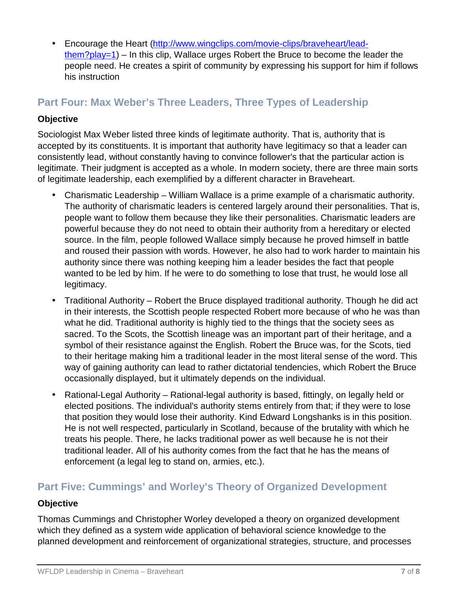• Encourage the Heart [\(http://www.wingclips.com/movie-clips/braveheart/lead](http://www.wingclips.com/movie-clips/braveheart/lead-them?play=1)[them?play=1\)](http://www.wingclips.com/movie-clips/braveheart/lead-them?play=1) – In this clip, Wallace urges Robert the Bruce to become the leader the people need. He creates a spirit of community by expressing his support for him if follows his instruction

# **Part Four: Max Weber's Three Leaders, Three Types of Leadership**

#### **Objective**

Sociologist Max Weber listed three kinds of legitimate authority. That is, authority that is accepted by its constituents. It is important that authority have legitimacy so that a leader can consistently lead, without constantly having to convince follower's that the particular action is legitimate. Their judgment is accepted as a whole. In modern society, there are three main sorts of legitimate leadership, each exemplified by a different character in Braveheart.

- Charismatic Leadership William Wallace is a prime example of a charismatic authority. The authority of charismatic leaders is centered largely around their personalities. That is, people want to follow them because they like their personalities. Charismatic leaders are powerful because they do not need to obtain their authority from a hereditary or elected source. In the film, people followed Wallace simply because he proved himself in battle and roused their passion with words. However, he also had to work harder to maintain his authority since there was nothing keeping him a leader besides the fact that people wanted to be led by him. If he were to do something to lose that trust, he would lose all legitimacy.
- Traditional Authority Robert the Bruce displayed traditional authority. Though he did act in their interests, the Scottish people respected Robert more because of who he was than what he did. Traditional authority is highly tied to the things that the society sees as sacred. To the Scots, the Scottish lineage was an important part of their heritage, and a symbol of their resistance against the English. Robert the Bruce was, for the Scots, tied to their heritage making him a traditional leader in the most literal sense of the word. This way of gaining authority can lead to rather dictatorial tendencies, which Robert the Bruce occasionally displayed, but it ultimately depends on the individual.
- Rational-Legal Authority Rational-legal authority is based, fittingly, on legally held or elected positions. The individual's authority stems entirely from that; if they were to lose that position they would lose their authority. Kind Edward Longshanks is in this position. He is not well respected, particularly in Scotland, because of the brutality with which he treats his people. There, he lacks traditional power as well because he is not their traditional leader. All of his authority comes from the fact that he has the means of enforcement (a legal leg to stand on, armies, etc.).

## **Part Five: Cummings' and Worley's Theory of Organized Development**

#### **Objective**

Thomas Cummings and Christopher Worley developed a theory on organized development which they defined as a system wide application of behavioral science knowledge to the planned development and reinforcement of organizational strategies, structure, and processes